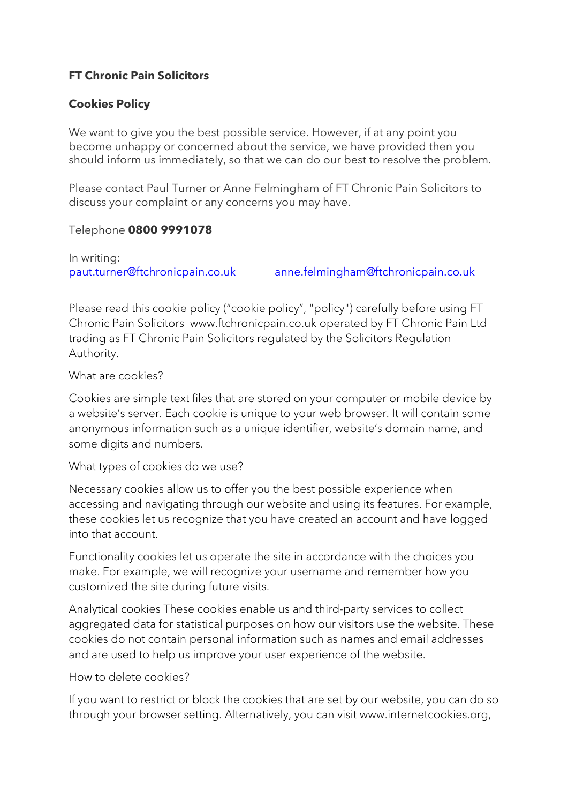## **FT Chronic Pain Solicitors**

## **Cookies Policy**

We want to give you the best possible service. However, if at any point you become unhappy or concerned about the service, we have provided then you should inform us immediately, so that we can do our best to resolve the problem.

Please contact Paul Turner or Anne Felmingham of FT Chronic Pain Solicitors to discuss your complaint or any concerns you may have.

## Telephone **0800 9991078**

In writing: [paut.turner@ftchronicpain.co.uk](mailto:paut.turner@ftchronicpain.co.uk) [anne.felmingham@ftchronicpain.co.uk](mailto:anne.felmingham@ftchronicpain.co.uk)

Please read this cookie policy ("cookie policy", "policy") carefully before using FT Chronic Pain Solicitors www.ftchronicpain.co.uk operated by FT Chronic Pain Ltd trading as FT Chronic Pain Solicitors regulated by the Solicitors Regulation Authority.

## What are cookies?

Cookies are simple text files that are stored on your computer or mobile device by a website's server. Each cookie is unique to your web browser. It will contain some anonymous information such as a unique identifier, website's domain name, and some digits and numbers.

What types of cookies do we use?

Necessary cookies allow us to offer you the best possible experience when accessing and navigating through our website and using its features. For example, these cookies let us recognize that you have created an account and have logged into that account.

Functionality cookies let us operate the site in accordance with the choices you make. For example, we will recognize your username and remember how you customized the site during future visits.

Analytical cookies These cookies enable us and third-party services to collect aggregated data for statistical purposes on how our visitors use the website. These cookies do not contain personal information such as names and email addresses and are used to help us improve your user experience of the website.

How to delete cookies?

If you want to restrict or block the cookies that are set by our website, you can do so through your browser setting. Alternatively, you can visit www.internetcookies.org,